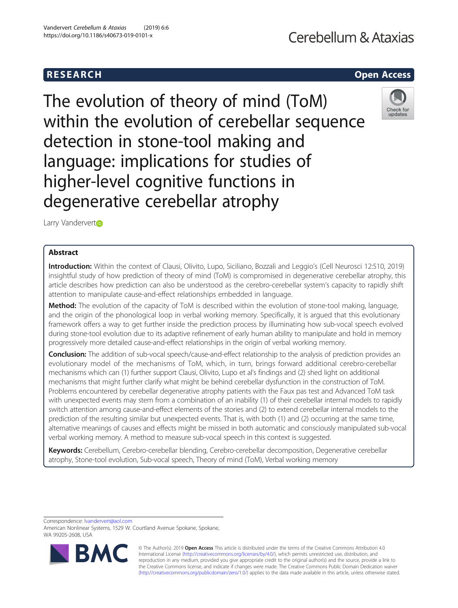# **RESEARCH CHEAR CHEAR CHEAR CHEAR CHEAR CHEAR CHEAR CHEAR CHEAR CHEAR CHEAR CHEAR CHEAR CHEAR CHEAR CHEAR CHEAR**

The evolution of theory of mind (ToM) within the evolution of cerebellar sequence detection in stone-tool making and language: implications for studies of higher-level cognitive functions in degenerative cerebellar atrophy



Larry Vandervert<sup>®</sup>

# Abstract

Introduction: Within the context of Clausi, Olivito, Lupo, Siciliano, Bozzali and Leggio's (Cell Neurosci 12:510, 2019) insightful study of how prediction of theory of mind (ToM) is compromised in degenerative cerebellar atrophy, this article describes how prediction can also be understood as the cerebro-cerebellar system's capacity to rapidly shift attention to manipulate cause-and-effect relationships embedded in language.

Method: The evolution of the capacity of ToM is described within the evolution of stone-tool making, language, and the origin of the phonological loop in verbal working memory. Specifically, it is argued that this evolutionary framework offers a way to get further inside the prediction process by illuminating how sub-vocal speech evolved during stone-tool evolution due to its adaptive refinement of early human ability to manipulate and hold in memory progressively more detailed cause-and-effect relationships in the origin of verbal working memory.

**Conclusion:** The addition of sub-vocal speech/cause-and-effect relationship to the analysis of prediction provides an evolutionary model of the mechanisms of ToM, which, in turn, brings forward additional cerebro-cerebellar mechanisms which can (1) further support Clausi, Olivito, Lupo et al's findings and (2) shed light on additional mechanisms that might further clarify what might be behind cerebellar dysfunction in the construction of ToM. Problems encountered by cerebellar degenerative atrophy patients with the Faux pas test and Advanced ToM task with unexpected events may stem from a combination of an inability (1) of their cerebellar internal models to rapidly switch attention among cause-and-effect elements of the stories and (2) to extend cerebellar internal models to the prediction of the resulting similar but unexpected events. That is, with both (1) and (2) occurring at the same time, alternative meanings of causes and effects might be missed in both automatic and consciously manipulated sub-vocal verbal working memory. A method to measure sub-vocal speech in this context is suggested.

Keywords: Cerebellum, Cerebro-cerebellar blending, Cerebro-cerebellar decomposition, Degenerative cerebellar atrophy, Stone-tool evolution, Sub-vocal speech, Theory of mind (ToM), Verbal working memory

Correspondence: [lvandervert@aol.com](mailto:lvandervert@aol.com)

American Nonlinear Systems, 1529 W. Courtland Avenue Spokane, Spokane, WA 99205-2608, USA



© The Author(s). 2019 **Open Access** This article is distributed under the terms of the Creative Commons Attribution 4.0 International License [\(http://creativecommons.org/licenses/by/4.0/](http://creativecommons.org/licenses/by/4.0/)), which permits unrestricted use, distribution, and reproduction in any medium, provided you give appropriate credit to the original author(s) and the source, provide a link to the Creative Commons license, and indicate if changes were made. The Creative Commons Public Domain Dedication waiver [\(http://creativecommons.org/publicdomain/zero/1.0/](http://creativecommons.org/publicdomain/zero/1.0/)) applies to the data made available in this article, unless otherwise stated.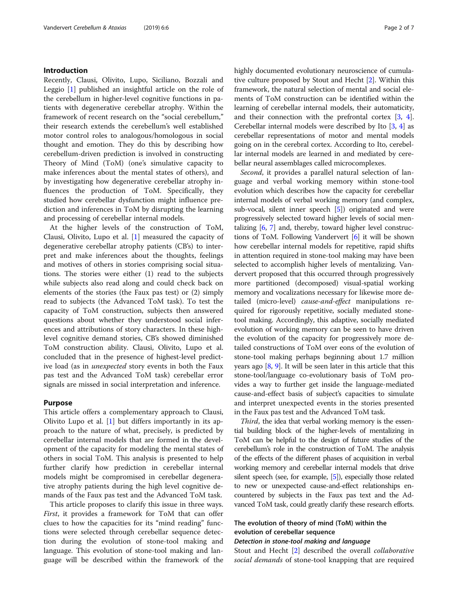# Introduction

Recently, Clausi, Olivito, Lupo, Siciliano, Bozzali and Leggio [[1\]](#page-5-0) published an insightful article on the role of the cerebellum in higher-level cognitive functions in patients with degenerative cerebellar atrophy. Within the framework of recent research on the "social cerebellum," their research extends the cerebellum's well established motor control roles to analogous/homologous in social thought and emotion. They do this by describing how cerebellum-driven prediction is involved in constructing Theory of Mind (ToM) (one's simulative capacity to make inferences about the mental states of others), and by investigating how degenerative cerebellar atrophy influences the production of ToM. Specifically, they studied how cerebellar dysfunction might influence prediction and inferences in ToM by disrupting the learning and processing of cerebellar internal models.

At the higher levels of the construction of ToM, Clausi, Olivito, Lupo et al. [\[1](#page-5-0)] measured the capacity of degenerative cerebellar atrophy patients (CB's) to interpret and make inferences about the thoughts, feelings and motives of others in stories comprising social situations. The stories were either (1) read to the subjects while subjects also read along and could check back on elements of the stories (the Faux pas test) or (2) simply read to subjects (the Advanced ToM task). To test the capacity of ToM construction, subjects then answered questions about whether they understood social inferences and attributions of story characters. In these highlevel cognitive demand stories, CB's showed diminished ToM construction ability. Clausi, Olivito, Lupo et al. concluded that in the presence of highest-level predictive load (as in unexpected story events in both the Faux pas test and the Advanced ToM task) cerebellar error signals are missed in social interpretation and inference.

#### Purpose

This article offers a complementary approach to Clausi, Olivito Lupo et al. [\[1](#page-5-0)] but differs importantly in its approach to the nature of what, precisely, is predicted by cerebellar internal models that are formed in the development of the capacity for modeling the mental states of others in social ToM. This analysis is presented to help further clarify how prediction in cerebellar internal models might be compromised in cerebellar degenerative atrophy patients during the high level cognitive demands of the Faux pas test and the Advanced ToM task.

This article proposes to clarify this issue in three ways. First, it provides a framework for ToM that can offer clues to how the capacities for its "mind reading" functions were selected through cerebellar sequence detection during the evolution of stone-tool making and language. This evolution of stone-tool making and language will be described within the framework of the highly documented evolutionary neuroscience of cumulative culture proposed by Stout and Hecht [\[2](#page-5-0)]. Within this framework, the natural selection of mental and social elements of ToM construction can be identified within the learning of cerebellar internal models, their automaticity, and their connection with the prefrontal cortex [[3](#page-5-0), [4](#page-5-0)]. Cerebellar internal models were described by Ito [\[3,](#page-5-0) [4](#page-5-0)] as cerebellar representations of motor and mental models going on in the cerebral cortex. According to Ito, cerebellar internal models are learned in and mediated by cerebellar neural assemblages called microcomplexes.

Second, it provides a parallel natural selection of language and verbal working memory within stone-tool evolution which describes how the capacity for cerebellar internal models of verbal working memory (and complex, sub-vocal, silent inner speech [\[5\]](#page-5-0)) originated and were progressively selected toward higher levels of social mentalizing [\[6](#page-5-0), [7\]](#page-5-0) and, thereby, toward higher level constructions of ToM. Following Vandervert [\[6](#page-5-0)] it will be shown how cerebellar internal models for repetitive, rapid shifts in attention required in stone-tool making may have been selected to accomplish higher levels of mentalizing. Vandervert proposed that this occurred through progressively more partitioned (decomposed) visual-spatial working memory and vocalizations necessary for likewise more detailed (micro-level) cause-and-effect manipulations required for rigorously repetitive, socially mediated stonetool making. Accordingly, this adaptive, socially mediated evolution of working memory can be seen to have driven the evolution of the capacity for progressively more detailed constructions of ToM over eons of the evolution of stone-tool making perhaps beginning about 1.7 million years ago [[8,](#page-6-0) [9](#page-6-0)]. It will be seen later in this article that this stone-tool/language co-evolutionary basis of ToM provides a way to further get inside the language-mediated cause-and-effect basis of subject's capacities to simulate and interpret unexpected events in the stories presented in the Faux pas test and the Advanced ToM task.

Third, the idea that verbal working memory is the essential building block of the higher-levels of mentalizing in ToM can be helpful to the design of future studies of the cerebellum's role in the construction of ToM. The analysis of the effects of the different phases of acquisition in verbal working memory and cerebellar internal models that drive silent speech (see, for example, [\[5\]](#page-5-0)), especially those related to new or unexpected cause-and-effect relationships encountered by subjects in the Faux pas text and the Advanced ToM task, could greatly clarify these research efforts.

# The evolution of theory of mind (ToM) within the evolution of cerebellar sequence

# Detection in stone-tool making and language

Stout and Hecht [\[2](#page-5-0)] described the overall collaborative social demands of stone-tool knapping that are required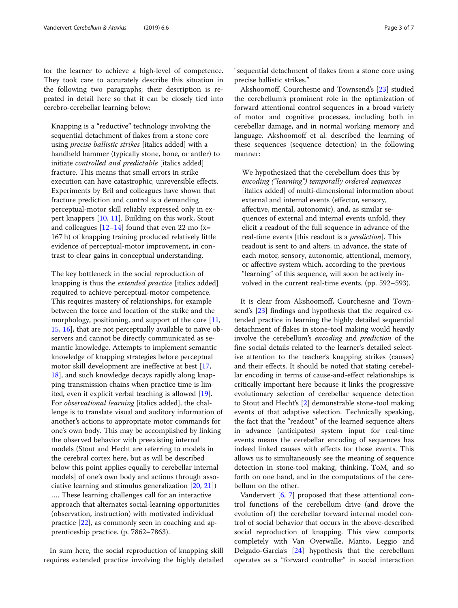for the learner to achieve a high-level of competence. They took care to accurately describe this situation in the following two paragraphs; their description is repeated in detail here so that it can be closely tied into cerebro-cerebellar learning below:

Knapping is a "reductive" technology involving the sequential detachment of flakes from a stone core using precise ballistic strikes [italics added] with a handheld hammer (typically stone, bone, or antler) to initiate controlled and predictable [italics added] fracture. This means that small errors in strike execution can have catastrophic, unreversible effects. Experiments by Bril and colleagues have shown that fracture prediction and control is a demanding perceptual-motor skill reliably expressed only in expert knappers [\[10](#page-6-0), [11\]](#page-6-0). Building on this work, Stout and colleagues  $[12-14]$  $[12-14]$  $[12-14]$  found that even 22 mo ( $\bar{x}$ = 167 h) of knapping training produced relatively little evidence of perceptual-motor improvement, in contrast to clear gains in conceptual understanding.

The key bottleneck in the social reproduction of knapping is thus the extended practice [italics added] required to achieve perceptual-motor competence. This requires mastery of relationships, for example between the force and location of the strike and the morphology, positioning, and support of the core [\[11,](#page-6-0) [15,](#page-6-0) [16](#page-6-0)], that are not perceptually available to naïve observers and cannot be directly communicated as semantic knowledge. Attempts to implement semantic knowledge of knapping strategies before perceptual motor skill development are ineffective at best [[17,](#page-6-0) [18\]](#page-6-0), and such knowledge decays rapidly along knapping transmission chains when practice time is limited, even if explicit verbal teaching is allowed [\[19\]](#page-6-0). For observational learning [italics added], the challenge is to translate visual and auditory information of another's actions to appropriate motor commands for one's own body. This may be accomplished by linking the observed behavior with preexisting internal models (Stout and Hecht are referring to models in the cerebral cortex here, but as will be described below this point applies equally to cerebellar internal models] of one's own body and actions through associative learning and stimulus generalization [[20](#page-6-0), [21](#page-6-0)]) …. These learning challenges call for an interactive approach that alternates social-learning opportunities (observation, instruction) with motivated individual practice [[22\]](#page-6-0), as commonly seen in coaching and apprenticeship practice. (p. 7862–7863).

In sum here, the social reproduction of knapping skill requires extended practice involving the highly detailed

"sequential detachment of flakes from a stone core using precise ballistic strikes."

Akshoomoff, Courchesne and Townsend's [[23\]](#page-6-0) studied the cerebellum's prominent role in the optimization of forward attentional control sequences in a broad variety of motor and cognitive processes, including both in cerebellar damage, and in normal working memory and language. Akshoomoff et al. described the learning of these sequences (sequence detection) in the following manner:

We hypothesized that the cerebellum does this by encoding ("learning") temporally ordered sequences [italics added] of multi-dimensional information about external and internal events (effector, sensory, affective, mental, autonomic), and, as similar sequences of external and internal events unfold, they elicit a readout of the full sequence in advance of the real-time events [this readout is a prediction]. This readout is sent to and alters, in advance, the state of each motor, sensory, autonomic, attentional, memory, or affective system which, according to the previous "learning" of this sequence, will soon be actively involved in the current real-time events. (pp. 592–593).

It is clear from Akshoomoff, Courchesne and Townsend's [\[23](#page-6-0)] findings and hypothesis that the required extended practice in learning the highly detailed sequential detachment of flakes in stone-tool making would heavily involve the cerebellum's encoding and prediction of the fine social details related to the learner's detailed selective attention to the teacher's knapping strikes (causes) and their effects. It should be noted that stating cerebellar encoding in terms of cause-and-effect relationships is critically important here because it links the progressive evolutionary selection of cerebellar sequence detection to Stout and Hecht's [[2\]](#page-5-0) demonstrable stone-tool making events of that adaptive selection. Technically speaking, the fact that the "readout" of the learned sequence alters in advance (anticipates) system input for real-time events means the cerebellar encoding of sequences has indeed linked causes with effects for those events. This allows us to simultaneously see the meaning of sequence detection in stone-tool making, thinking, ToM, and so forth on one hand, and in the computations of the cerebellum on the other.

Vandervert [[6,](#page-5-0) [7](#page-5-0)] proposed that these attentional control functions of the cerebellum drive (and drove the evolution of) the cerebellar forward internal model control of social behavior that occurs in the above-described social reproduction of knapping. This view comports completely with Van Overwalle, Manto, Leggio and Delgado-Garcia's [[24\]](#page-6-0) hypothesis that the cerebellum operates as a "forward controller" in social interaction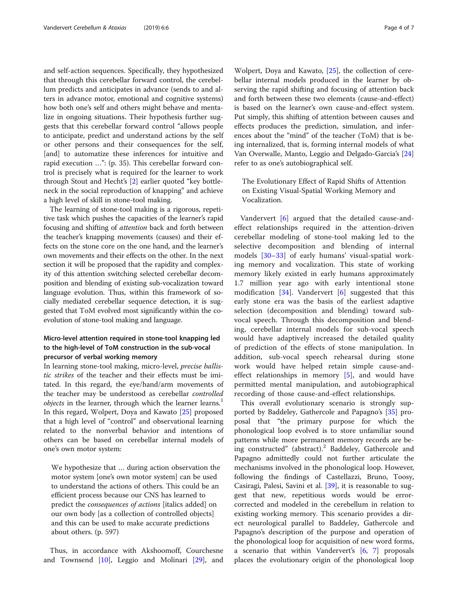and self-action sequences. Specifically, they hypothesized that through this cerebellar forward control, the cerebellum predicts and anticipates in advance (sends to and alters in advance motor, emotional and cognitive systems) how both one's self and others might behave and mentalize in ongoing situations. Their hypothesis further suggests that this cerebellar forward control "allows people to anticipate, predict and understand actions by the self or other persons and their consequences for the self, [and] to automatize these inferences for intuitive and rapid execution …": (p. 35). This cerebellar forward control is precisely what is required for the learner to work through Stout and Hecht's [[2\]](#page-5-0) earlier quoted "key bottleneck in the social reproduction of knapping" and achieve a high level of skill in stone-tool making.

The learning of stone-tool making is a rigorous, repetitive task which pushes the capacities of the learner's rapid focusing and shifting of attention back and forth between the teacher's knapping movements (causes) and their effects on the stone core on the one hand, and the learner's own movements and their effects on the other. In the next section it will be proposed that the rapidity and complexity of this attention switching selected cerebellar decomposition and blending of existing sub-vocalization toward language evolution. Thus, within this framework of socially mediated cerebellar sequence detection, it is suggested that ToM evolved most significantly within the coevolution of stone-tool making and language.

# Micro-level attention required in stone-tool knapping led to the high-level of ToM construction in the sub-vocal precursor of verbal working memory

In learning stone-tool making, micro-level, precise ballistic strikes of the teacher and their effects must be imitated. In this regard, the eye/hand/arm movements of the teacher may be understood as cerebellar controlled *objects* in the learner, through which the learner learns.<sup>1</sup> In this regard, Wolpert, Doya and Kawato [[25](#page-6-0)] proposed that a high level of "control" and observational learning related to the nonverbal behavior and intentions of others can be based on cerebellar internal models of one's own motor system:

We hypothesize that … during action observation the motor system [one's own motor system] can be used to understand the actions of others. This could be an efficient process because our CNS has learned to predict the consequences of actions [italics added] on our own body [as a collection of controlled objects] and this can be used to make accurate predictions about others. (p. 597)

Thus, in accordance with Akshoomoff, Courchesne and Townsend [\[10\]](#page-6-0), Leggio and Molinari [[29](#page-6-0)], and

Wolpert, Doya and Kawato, [[25](#page-6-0)], the collection of cerebellar internal models produced in the learner by observing the rapid shifting and focusing of attention back and forth between these two elements (cause-and-effect) is based on the learner's own cause-and-effect system. Put simply, this shifting of attention between causes and effects produces the prediction, simulation, and inferences about the "mind" of the teacher (ToM) that is being internalized, that is, forming internal models of what Van Overwalle, Manto, Leggio and Delgado-Garcia's [[24](#page-6-0)] refer to as one's autobiographical self.

The Evolutionary Effect of Rapid Shifts of Attention on Existing Visual-Spatial Working Memory and Vocalization.

Vandervert [[6\]](#page-5-0) argued that the detailed cause-andeffect relationships required in the attention-driven cerebellar modeling of stone-tool making led to the selective decomposition and blending of internal models [[30](#page-6-0)–[33\]](#page-6-0) of early humans' visual-spatial working memory and vocalization. This state of working memory likely existed in early humans approximately 1.7 million year ago with early intentional stone modification [[34](#page-6-0)]. Vandervert [[6](#page-5-0)] suggested that this early stone era was the basis of the earliest adaptive selection (decomposition and blending) toward subvocal speech. Through this decomposition and blending, cerebellar internal models for sub-vocal speech would have adaptively increased the detailed quality of prediction of the effects of stone manipulation. In addition, sub-vocal speech rehearsal during stone work would have helped retain simple cause-andeffect relationships in memory [\[5](#page-5-0)], and would have permitted mental manipulation, and autobiographical recording of those cause-and-effect relationships.

This overall evolutionary scenario is strongly supported by Baddeley, Gathercole and Papagno's [\[35](#page-6-0)] proposal that "the primary purpose for which the phonological loop evolved is to store unfamiliar sound patterns while more permanent memory records are being constructed" (abstract).<sup>2</sup> Baddeley, Gathercole and Papagno admittedly could not further articulate the mechanisms involved in the phonological loop. However, following the findings of Castellazzi, Bruno, Toosy, Casiragi, Palesi, Savini et al. [[39\]](#page-6-0), it is reasonable to suggest that new, repetitious words would be errorcorrected and modeled in the cerebellum in relation to existing working memory. This scenario provides a direct neurological parallel to Baddeley, Gathercole and Papagno's description of the purpose and operation of the phonological loop for acquisition of new word forms, a scenario that within Vandervert's [\[6](#page-5-0), [7\]](#page-5-0) proposals places the evolutionary origin of the phonological loop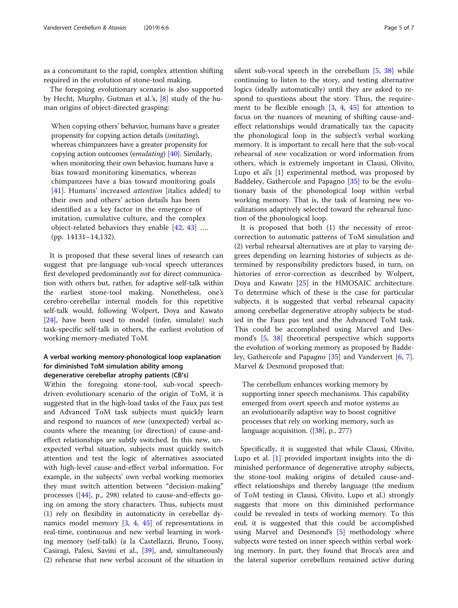as a concomitant to the rapid, complex attention shifting required in the evolution of stone-tool making.

The foregoing evolutionary scenario is also supported by Hecht, Murphy, Gutman et al.'s, [\[8](#page-6-0)] study of the human origins of object-directed grasping:

When copying others' behavior, humans have a greater propensity for copying action details (imitating), whereas chimpanzees have a greater propensity for copying action outcomes (emulating) [\[40\]](#page-6-0). Similarly, when monitoring their own behavior, humans have a bias toward monitoring kinematics, whereas chimpanzees have a bias toward monitoring goals [[41\]](#page-6-0). Humans' increased *attention* [italics added] to their own and others' action details has been identified as a key factor in the emergence of imitation, cumulative culture, and the complex object-related behaviors they enable [[42,](#page-6-0) [43](#page-6-0)] …. (pp. 14131–14,132).

It is proposed that these several lines of research can suggest that pre-language sub-vocal speech utterances first developed predominantly not for direct communication with others but, rather, for adaptive self-talk within the earliest stone-tool making. Nonetheless, one's cerebro-cerebellar internal models for this repetitive self-talk would, following Wolpert, Doya and Kawato [[24\]](#page-6-0), have been used to model (infer, simulate) such task-specific self-talk in others, the earliest evolution of working memory-mediated ToM.

# A verbal working memory-phonological loop explanation for diminished ToM simulation ability among degenerative cerebellar atrophy patients (CB's)

Within the foregoing stone-tool, sub-vocal speechdriven evolutionary scenario of the origin of ToM, it is suggested that in the high-load tasks of the Faux pas test and Advanced ToM task subjects must quickly learn and respond to nuances of new (unexpected) verbal accounts where the meaning (or direction) of cause-andeffect relationships are subtly switched. In this new, unexpected verbal situation, subjects must quickly switch attention and test the logic of alternatives associated with high-level cause-and-effect verbal information. For example, in the subjects' own verbal working memories they must switch attention between "decision-making" processes  $(44)$ , p., 298) related to cause-and-effects going on among the story characters. Thus, subjects must (1) rely on flexibility in automaticity in cerebellar dynamics model memory [[3,](#page-5-0) [4](#page-5-0), [45](#page-6-0)] of representations in real-time, continuous and new verbal learning in working memory (self-talk) (a la Castellazzi, Bruno, Toosy, Casiragi, Palesi, Savini et al., [[39](#page-6-0)], and, simultaneously (2) rehearse that new verbal account of the situation in silent sub-vocal speech in the cerebellum [\[5](#page-5-0), [38](#page-6-0)] while continuing to listen to the story, and testing alternative logics (ideally automatically) until they are asked to respond to questions about the story. Thus, the requirement to be flexible enough [[3](#page-5-0), [4](#page-5-0), [45](#page-6-0)] for attention to focus on the nuances of meaning of shifting cause-andeffect relationships would dramatically tax the capacity the phonological loop in the subject's verbal working memory. It is important to recall here that the sub-vocal rehearsal of new vocalization or word information from others, which is extremely important in Clausi, Olivito, Lupo et al's [[1\]](#page-5-0) experimental method, was proposed by Baddeley, Gathercole and Papagno [\[35\]](#page-6-0) to be the evolutionary basis of the phonological loop within verbal working memory. That is, the task of learning new vocalizations adaptively selected toward the rehearsal function of the phonological loop.

It is proposed that both (1) the necessity of errorcorrection to automatic patterns of ToM simulation and (2) verbal rehearsal alternatives are at play to varying degrees depending on learning histories of subjects as determined by responsibility predictors based, in turn, on histories of error-correction as described by Wolpert, Doya and Kawato [[25](#page-6-0)] in the HMOSAIC architecture. To determine which of these is the case for particular subjects, it is suggested that verbal rehearsal capacity among cerebellar degenerative atrophy subjects be studied in the Faux pas test and the Advanced ToM task. This could be accomplished using Marvel and Desmond's [\[5](#page-5-0), [38\]](#page-6-0) theoretical perspective which supports the evolution of working memory as proposed by Baddeley, Gathercole and Papagno [\[35](#page-6-0)] and Vandervert [[6,](#page-5-0) [7](#page-5-0)]. Marvel & Desmond proposed that:

The cerebellum enhances working memory by supporting inner speech mechanisms. This capability emerged from overt speech and motor systems as an evolutionarily adaptive way to boost cognitive processes that rely on working memory, such as language acquisition.  $([38], p., 277)$  $([38], p., 277)$  $([38], p., 277)$ 

Specifically, it is suggested that while Clausi, Olivito, Lupo et al. [[1\]](#page-5-0) provided important insights into the diminished performance of degenerative atrophy subjects, the stone-tool making origins of detailed cause-andeffect relationships and thereby language (the medium of ToM testing in Clausi, Olivito, Lupo et al.) strongly suggests that more on this diminished performance could be revealed in tests of working memory. To this end, it is suggested that this could be accomplished using Marvel and Desmond's [\[5\]](#page-5-0) methodology where subjects were tested on inner speech within verbal working memory. In part, they found that Broca's area and the lateral superior cerebellum remained active during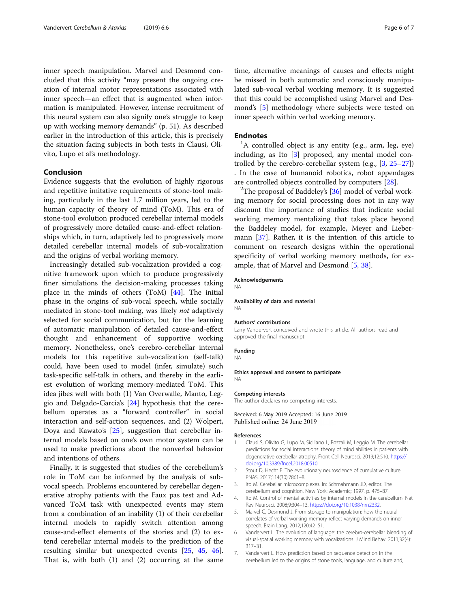<span id="page-5-0"></span>inner speech manipulation. Marvel and Desmond concluded that this activity "may present the ongoing creation of internal motor representations associated with inner speech—an effect that is augmented when information is manipulated. However, intense recruitment of this neural system can also signify one's struggle to keep up with working memory demands" (p. 51). As described earlier in the introduction of this article, this is precisely the situation facing subjects in both tests in Clausi, Olivito, Lupo et al's methodology.

# Conclusion

Evidence suggests that the evolution of highly rigorous and repetitive imitative requirements of stone-tool making, particularly in the last 1.7 million years, led to the human capacity of theory of mind (ToM). This era of stone-tool evolution produced cerebellar internal models of progressively more detailed cause-and-effect relationships which, in turn, adaptively led to progressively more detailed cerebellar internal models of sub-vocalization and the origins of verbal working memory.

Increasingly detailed sub-vocalization provided a cognitive framework upon which to produce progressively finer simulations the decision-making processes taking place in the minds of others (ToM) [\[44](#page-6-0)]. The initial phase in the origins of sub-vocal speech, while socially mediated in stone-tool making, was likely not adaptively selected for social communication, but for the learning of automatic manipulation of detailed cause-and-effect thought and enhancement of supportive working memory. Nonetheless, one's cerebro-cerebellar internal models for this repetitive sub-vocalization (self-talk) could, have been used to model (infer, simulate) such task-specific self-talk in others, and thereby in the earliest evolution of working memory-mediated ToM. This idea jibes well with both (1) Van Overwalle, Manto, Leggio and Delgado-Garcia's [\[24](#page-6-0)] hypothesis that the cerebellum operates as a "forward controller" in social interaction and self-action sequences, and (2) Wolpert, Doya and Kawato's [[25\]](#page-6-0), suggestion that cerebellar internal models based on one's own motor system can be used to make predictions about the nonverbal behavior and intentions of others.

Finally, it is suggested that studies of the cerebellum's role in ToM can be informed by the analysis of subvocal speech. Problems encountered by cerebellar degenerative atrophy patients with the Faux pas test and Advanced ToM task with unexpected events may stem from a combination of an inability (1) of their cerebellar internal models to rapidly switch attention among cause-and-effect elements of the stories and (2) to extend cerebellar internal models to the prediction of the resulting similar but unexpected events [\[25](#page-6-0), [45](#page-6-0), [46](#page-6-0)]. That is, with both (1) and (2) occurring at the same

time, alternative meanings of causes and effects might be missed in both automatic and consciously manipulated sub-vocal verbal working memory. It is suggested that this could be accomplished using Marvel and Desmond's [5] methodology where subjects were tested on inner speech within verbal working memory.

## Endnotes

<sup>1</sup>A controlled object is any entity (e.g., arm, leg, eye) including, as Ito [3] proposed, any mental model controlled by the cerebro-cerebellar system (e.g., [3, [25](#page-6-0)–[27](#page-6-0)]) . In the case of humanoid robotics, robot appendages are controlled objects controlled by computers [[28\]](#page-6-0).

<sup>2</sup>The proposal of Baddeley's  $[36]$  $[36]$  model of verbal working memory for social processing does not in any way discount the importance of studies that indicate social working memory mentalizing that takes place beyond the Baddeley model, for example, Meyer and Liebermann [[37\]](#page-6-0). Rather, it is the intention of this article to comment on research designs within the operational specificity of verbal working memory methods, for example, that of Marvel and Desmond [5, [38\]](#page-6-0).

#### Acknowledgements

NA

#### Availability of data and material

NA

#### Authors' contributions

Larry Vandervert conceived and wrote this article. All authors read and approved the final manuscript

#### Funding

NA

#### Ethics approval and consent to participate NA

#### Competing interests

The author declares no competing interests.

Received: 6 May 2019 Accepted: 16 June 2019 Published online: 24 June 2019

#### References

- 1. Clausi S, Olivito G, Lupo M, Siciliano L, Bozzali M, Leggio M. The cerebellar predictions for social interactions: theory of mind abilities in patients with degenerative cerebellar atrophy. Front Cell Neurosci. 2019;12:510. [https://](https://doi.org/10.3389/fncel.2018.00510) [doi.org/10.3389/fncel.2018.00510](https://doi.org/10.3389/fncel.2018.00510).
- 2. Stout D, Hecht E. The evolutionary neuroscience of cumulative culture. PNAS. 2017;114(30):7861–8.
- 3. Ito M. Cerebellar microcomplexes. In: Schmahmann JD, editor. The cerebellum and cognition. New York: Academic; 1997. p. 475–87.
- 4. Ito M. Control of mental activities by internal models in the cerebellum. Nat Rev Neurosci. 2008;9:304–13. [https://doi.org/10.1038/nrn2332.](https://doi.org/10.1038/nrn2332)
- 5. Marvel C, Desmond J. From storage to manipulation: how the neural correlates of verbal working memory reflect varying demands on inner speech. Brain Lang. 2012;120:42–51.
- 6. Vandervert L. The evolution of language: the cerebro-cerebellar blending of visual-spatial working memory with vocalizations. J Mind Behav. 2011;32(4): 317–31.
- 7. Vandervert L. How prediction based on sequence detection in the cerebellum led to the origins of stone tools, language, and culture and,